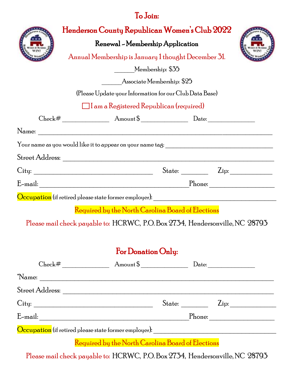## To Join:

|                                                         | Henderson County Republican Women's Club 2022<br>Renewal - Membership Application<br>Annual Membership is January 1 thought December 31. |  |  |  |  |  |
|---------------------------------------------------------|------------------------------------------------------------------------------------------------------------------------------------------|--|--|--|--|--|
|                                                         | Membership: \$35                                                                                                                         |  |  |  |  |  |
| Associate Membership: \$25                              |                                                                                                                                          |  |  |  |  |  |
| (Please Update your Information for our Club Data Base) |                                                                                                                                          |  |  |  |  |  |
| $\Box$ I am a Registered Republican (required)          |                                                                                                                                          |  |  |  |  |  |
|                                                         | $Check#$ Amount $\frac{1}{2}$ Amount $\frac{1}{2}$ Date:                                                                                 |  |  |  |  |  |
|                                                         | Name:                                                                                                                                    |  |  |  |  |  |
|                                                         |                                                                                                                                          |  |  |  |  |  |
|                                                         |                                                                                                                                          |  |  |  |  |  |
|                                                         | City:<br>State: $\frac{Zip:$                                                                                                             |  |  |  |  |  |
|                                                         |                                                                                                                                          |  |  |  |  |  |
|                                                         |                                                                                                                                          |  |  |  |  |  |
|                                                         | Required by the North Carolina Board of Elections                                                                                        |  |  |  |  |  |
|                                                         | Please mail check payable to: HCRWC, P.O.Box 2734, Hendersonville, NC 28793                                                              |  |  |  |  |  |

## For Donation Only:

| ${\rm Check}$ #                                                                                                                                                                                                                                                                                                                                                                      | Amount $\uparrow$                                                                          |        |                             |  |
|--------------------------------------------------------------------------------------------------------------------------------------------------------------------------------------------------------------------------------------------------------------------------------------------------------------------------------------------------------------------------------------|--------------------------------------------------------------------------------------------|--------|-----------------------------|--|
| *Name:                                                                                                                                                                                                                                                                                                                                                                               |                                                                                            |        |                             |  |
| Street Address:                                                                                                                                                                                                                                                                                                                                                                      |                                                                                            |        |                             |  |
| $\begin{tabular}{ c c } \hline City: & \hspace*{2.5cm} & \hspace*{2.5cm} & \hspace*{2.5cm} & \hspace*{2.5cm} & \hspace*{2.5cm} & \hspace*{2.5cm} & \hspace*{2.5cm} & \hspace*{2.5cm} & \hspace*{2.5cm} & \hspace*{2.5cm} & \hspace*{2.5cm} & \hspace*{2.5cm} & \hspace*{2.5cm} & \hspace*{2.5cm} & \hspace*{2.5cm} & \hspace*{2.5cm} & \hspace*{2.5cm} & \hspace*{2.5cm} & \hspace*$ |                                                                                            | State: | $\mathop{\rm Zip}\nolimits$ |  |
| E-mail:                                                                                                                                                                                                                                                                                                                                                                              |                                                                                            |        | Phone:                      |  |
| <b>Occupation</b> (if retired please state former employer):                                                                                                                                                                                                                                                                                                                         |                                                                                            |        |                             |  |
|                                                                                                                                                                                                                                                                                                                                                                                      | $\mathbf{n}$ $\mathbf{m}$ $\mathbf{m}$ $\mathbf{m}$ $\mathbf{m}$ $\mathbf{m}$ $\mathbf{m}$ |        |                             |  |

Required by the North Carolina Board of Elections

Please mail check payable to: HCRWC, P.O. Box 2734, Hendersonville, NC 28793